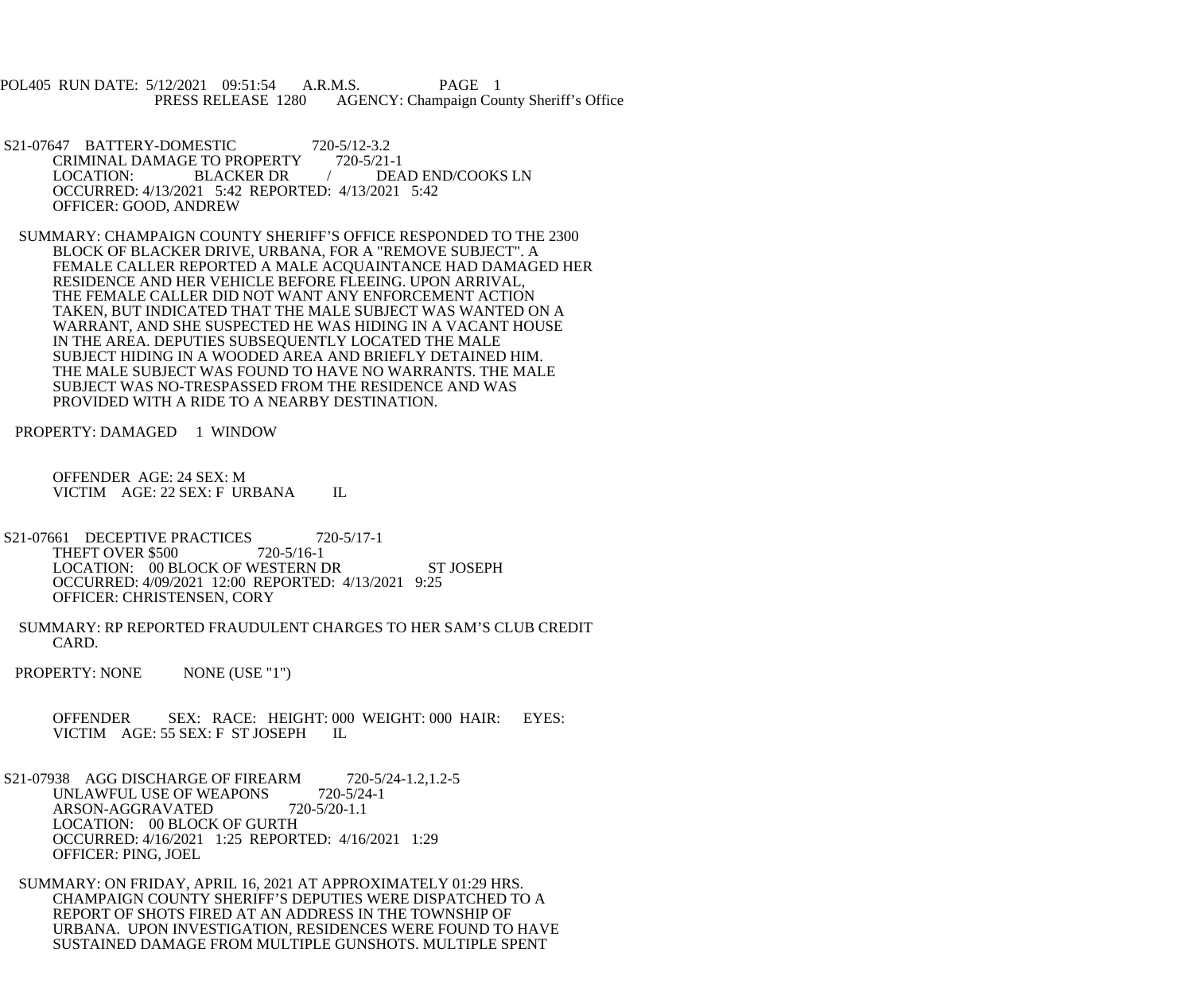POL405 RUN DATE: 5/12/2021 09:51:54 A.R.M.S. PAGE 1<br>PRESS RELEASE 1280 AGENCY: Champaign Cou AGENCY: Champaign County Sheriff's Office

- S21-07647 BATTERY-DOMESTIC 720-5/12-3.2<br>CRIMINAL DAMAGE TO PROPERTY 720-5/21-1 CRIMINAL DAMAGE TO PROPERTY LOCATION: BLACKER DR / DEAD END/COOKS LN OCCURRED: 4/13/2021 5:42 REPORTED: 4/13/2021 5:42 OFFICER: GOOD, ANDREW
- SUMMARY: CHAMPAIGN COUNTY SHERIFF'S OFFICE RESPONDED TO THE 2300 BLOCK OF BLACKER DRIVE, URBANA, FOR A "REMOVE SUBJECT". A FEMALE CALLER REPORTED A MALE ACQUAINTANCE HAD DAMAGED HER RESIDENCE AND HER VEHICLE BEFORE FLEEING. UPON ARRIVAL, THE FEMALE CALLER DID NOT WANT ANY ENFORCEMENT ACTION TAKEN, BUT INDICATED THAT THE MALE SUBJECT WAS WANTED ON A WARRANT, AND SHE SUSPECTED HE WAS HIDING IN A VACANT HOUSE IN THE AREA. DEPUTIES SUBSEQUENTLY LOCATED THE MALE SUBJECT HIDING IN A WOODED AREA AND BRIEFLY DETAINED HIM. THE MALE SUBJECT WAS FOUND TO HAVE NO WARRANTS. THE MALE SUBJECT WAS NO-TRESPASSED FROM THE RESIDENCE AND WAS PROVIDED WITH A RIDE TO A NEARBY DESTINATION.
- PROPERTY: DAMAGED 1 WINDOW
	- OFFENDER AGE: 24 SEX: M VICTIM AGE: 22 SEX: F URBANA IL
- S21-07661 DECEPTIVE PRACTICES 720-5/17-1<br>THEFT OVER \$500 720-5/16-1 THEFT OVER \$500 LOCATION: 00 BLOCK OF WESTERN DR ST JOSEPH OCCURRED: 4/09/2021 12:00 REPORTED: 4/13/2021 9:25 OFFICER: CHRISTENSEN, CORY
- SUMMARY: RP REPORTED FRAUDULENT CHARGES TO HER SAM'S CLUB CREDIT CARD.
- PROPERTY: NONE NONE (USE "1")
	- OFFENDER SEX: RACE: HEIGHT: 000 WEIGHT: 000 HAIR: EYES: VICTIM AGE: 55 SEX: F ST JOSEPH IL
- S21-07938 AGG DISCHARGE OF FIREARM 720-5/24-1.2,1.2-5<br>UNLAWFUL USE OF WEAPONS 720-5/24-1 UNLAWFUL USE OF WEAPONS ARSON-AGGRAVATED 720-5/20-1.1 LOCATION: 00 BLOCK OF GURTH OCCURRED: 4/16/2021 1:25 REPORTED: 4/16/2021 1:29 OFFICER: PING, JOEL
- SUMMARY: ON FRIDAY, APRIL 16, 2021 AT APPROXIMATELY 01:29 HRS. CHAMPAIGN COUNTY SHERIFF'S DEPUTIES WERE DISPATCHED TO A REPORT OF SHOTS FIRED AT AN ADDRESS IN THE TOWNSHIP OF URBANA. UPON INVESTIGATION, RESIDENCES WERE FOUND TO HAVE SUSTAINED DAMAGE FROM MULTIPLE GUNSHOTS. MULTIPLE SPENT